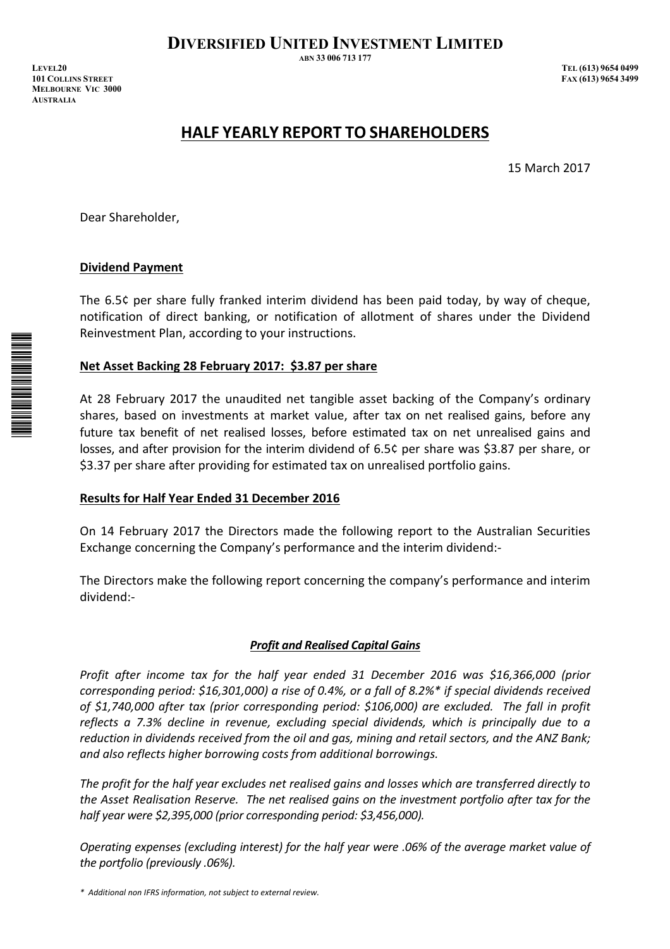**DIVERSIFIED UNITED INVESTMENT LIMITED** 

**ABN 33 006 713 177** 

*IEVEL20 TEL (613) 9654 0499 <i>TEL (613) 9654 0499* **EXX (613) 9654 3499 EXX (613) 9654 3499 MELBOURNE VIC 3000 AUSTRALIA** 

# **HALF YEARLY REPORT TO SHAREHOLDERS**

15 March 2017

Dear Shareholder,

# **Dividend Payment**

The 6.5¢ per share fully franked interim dividend has been paid today, by way of cheque, notification of direct banking, or notification of allotment of shares under the Dividend Reinvestment Plan, according to your instructions.

## **Net Asset Backing 28 February 2017: \$3.87 per share**

At 28 February 2017 the unaudited net tangible asset backing of the Company's ordinary shares, based on investments at market value, after tax on net realised gains, before any future tax benefit of net realised losses, before estimated tax on net unrealised gains and losses, and after provision for the interim dividend of 6.5¢ per share was \$3.87 per share, or \$3.37 per share after providing for estimated tax on unrealised portfolio gains.

# **Results for Half Year Ended 31 December 2016**

On 14 February 2017 the Directors made the following report to the Australian Securities Exchange concerning the Company's performance and the interim dividend:-

The Directors make the following report concerning the company's performance and interim dividend:-

## *Profit and Realised Capital Gains*

*Profit after income tax for the half year ended 31 December 2016 was \$16,366,000 (prior corresponding period: \$16,301,000) a rise of 0.4%, or a fall of 8.2%\* if special dividends received of \$1,740,000 after tax (prior corresponding period: \$106,000) are excluded. The fall in profit reflects a 7.3% decline in revenue, excluding special dividends, which is principally due to a reduction in dividends received from the oil and gas, mining and retail sectors, and the ANZ Bank; and also reflects higher borrowing costs from additional borrowings.* 

*The profit for the half year excludes net realised gains and losses which are transferred directly to the Asset Realisation Reserve. The net realised gains on the investment portfolio after tax for the half year were \$2,395,000 (prior corresponding period: \$3,456,000).* 

*Operating expenses (excluding interest) for the half year were .06% of the average market value of the portfolio (previously .06%).* 

*\* Additional non IFRS information, not subject to external review.* 

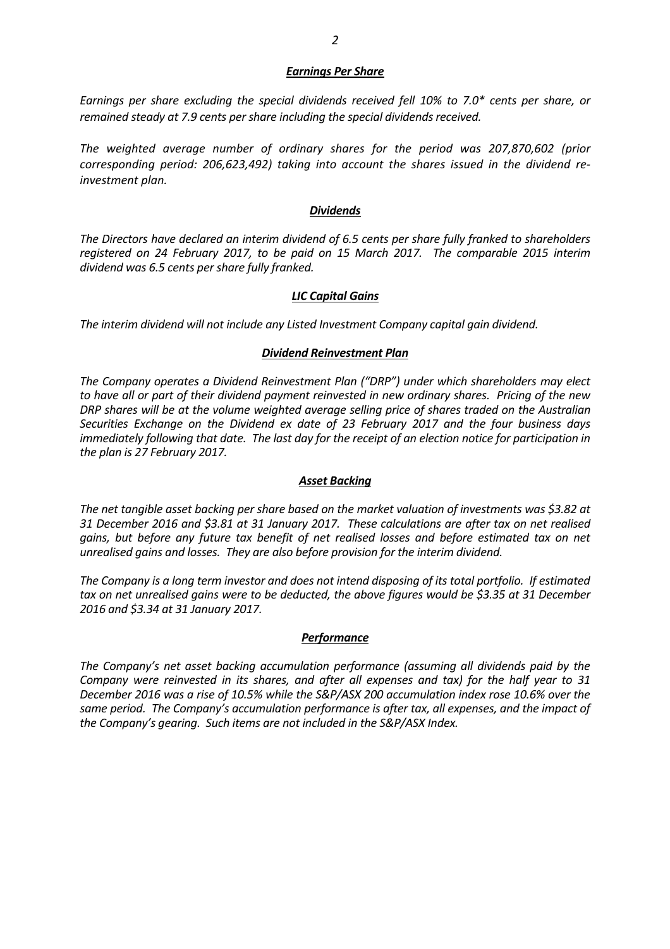#### *Earnings Per Share*

*Earnings per share excluding the special dividends received fell 10% to 7.0\* cents per share, or remained steady at 7.9 cents per share including the special dividends received.* 

*The weighted average number of ordinary shares for the period was 207,870,602 (prior corresponding period: 206,623,492) taking into account the shares issued in the dividend reinvestment plan.* 

#### *Dividends*

*The Directors have declared an interim dividend of 6.5 cents per share fully franked to shareholders registered on 24 February 2017, to be paid on 15 March 2017. The comparable 2015 interim dividend was 6.5 cents per share fully franked.* 

#### *LIC Capital Gains*

*The interim dividend will not include any Listed Investment Company capital gain dividend.* 

#### *Dividend Reinvestment Plan*

*The Company operates a Dividend Reinvestment Plan ("DRP") under which shareholders may elect to have all or part of their dividend payment reinvested in new ordinary shares. Pricing of the new DRP shares will be at the volume weighted average selling price of shares traded on the Australian Securities Exchange on the Dividend ex date of 23 February 2017 and the four business days immediately following that date. The last day for the receipt of an election notice for participation in the plan is 27 February 2017.* 

#### *Asset Backing*

*The net tangible asset backing per share based on the market valuation of investments was \$3.82 at 31 December 2016 and \$3.81 at 31 January 2017. These calculations are after tax on net realised gains, but before any future tax benefit of net realised losses and before estimated tax on net unrealised gains and losses. They are also before provision for the interim dividend.* 

*The Company is a long term investor and does not intend disposing of its total portfolio. If estimated tax on net unrealised gains were to be deducted, the above figures would be \$3.35 at 31 December 2016 and \$3.34 at 31 January 2017.* 

#### *Performance*

*The Company's net asset backing accumulation performance (assuming all dividends paid by the Company were reinvested in its shares, and after all expenses and tax) for the half year to 31 December 2016 was a rise of 10.5% while the S&P/ASX 200 accumulation index rose 10.6% over the same period. The Company's accumulation performance is after tax, all expenses, and the impact of the Company's gearing. Such items are not included in the S&P/ASX Index.*